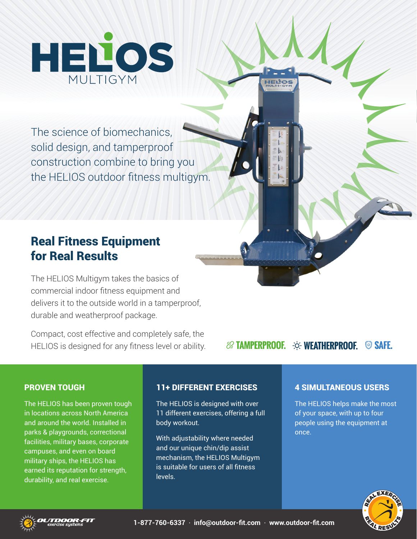

The science of biomechanics, solid design, and tamperproof construction combine to bring you the HELIOS outdoor fitness multigym.

# Real Fitness Equipment for Real Results

The HELIOS Multigym takes the basics of commercial indoor fitness equipment and delivers it to the outside world in a tamperproof, durable and weatherproof package.

Compact, cost effective and completely safe, the HELIOS is designed for any fitness level or ability.

## *<b>EXAMPERPROOF.*  $\infty$  WEATHERPROOF. **SAFE.**

**HEILOS** 

#### PROVEN TOUGH

The HELIOS has been proven tough in locations across North America and around the world. Installed in parks & playgrounds, correctional facilities, military bases, corporate campuses, and even on board military ships, the HELIOS has earned its reputation for strength, durability, and real exercise.

#### 11+ DIFFERENT EXERCISES

The HELIOS is designed with over 11 different exercises, offering a full body workout.

With adjustability where needed and our unique chin/dip assist mechanism, the HELIOS Multigym is suitable for users of all fitness levels.

### 4 SIMULTANEOUS USERS

The HELIOS helps make the most of your space, with up to four people using the equipment at once.